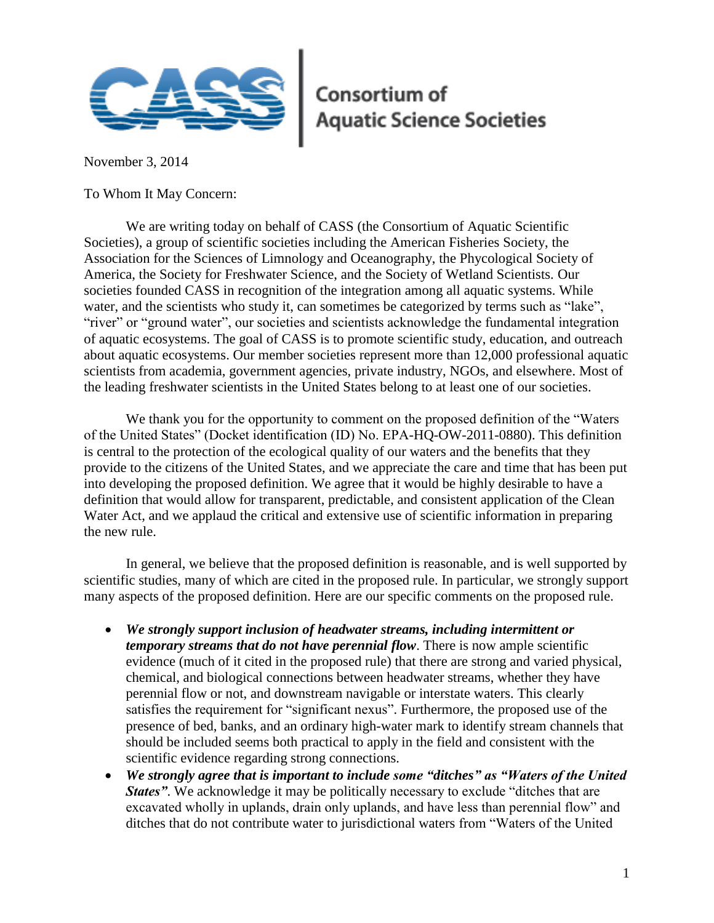

## **Consortium of<br>Aquatic Science Societies**

November 3, 2014

To Whom It May Concern:

We are writing today on behalf of CASS (the Consortium of Aquatic Scientific Societies), a group of scientific societies including the American Fisheries Society, the Association for the Sciences of Limnology and Oceanography, the Phycological Society of America, the Society for Freshwater Science, and the Society of Wetland Scientists. Our societies founded CASS in recognition of the integration among all aquatic systems. While water, and the scientists who study it, can sometimes be categorized by terms such as "lake", "river" or "ground water", our societies and scientists acknowledge the fundamental integration of aquatic ecosystems. The goal of CASS is to promote scientific study, education, and outreach about aquatic ecosystems. Our member societies represent more than 12,000 professional aquatic scientists from academia, government agencies, private industry, NGOs, and elsewhere. Most of the leading freshwater scientists in the United States belong to at least one of our societies.

We thank you for the opportunity to comment on the proposed definition of the "Waters of the United States" (Docket identification (ID) No. EPA-HQ-OW-2011-0880). This definition is central to the protection of the ecological quality of our waters and the benefits that they provide to the citizens of the United States, and we appreciate the care and time that has been put into developing the proposed definition. We agree that it would be highly desirable to have a definition that would allow for transparent, predictable, and consistent application of the Clean Water Act, and we applaud the critical and extensive use of scientific information in preparing the new rule.

In general, we believe that the proposed definition is reasonable, and is well supported by scientific studies, many of which are cited in the proposed rule. In particular, we strongly support many aspects of the proposed definition. Here are our specific comments on the proposed rule.

- *We strongly support inclusion of headwater streams, including intermittent or temporary streams that do not have perennial flow*. There is now ample scientific evidence (much of it cited in the proposed rule) that there are strong and varied physical, chemical, and biological connections between headwater streams, whether they have perennial flow or not, and downstream navigable or interstate waters. This clearly satisfies the requirement for "significant nexus". Furthermore, the proposed use of the presence of bed, banks, and an ordinary high-water mark to identify stream channels that should be included seems both practical to apply in the field and consistent with the scientific evidence regarding strong connections.
- *We strongly agree that is important to include some "ditches" as "Waters of the United States*. We acknowledge it may be politically necessary to exclude "ditches that are excavated wholly in uplands, drain only uplands, and have less than perennial flow" and ditches that do not contribute water to jurisdictional waters from "Waters of the United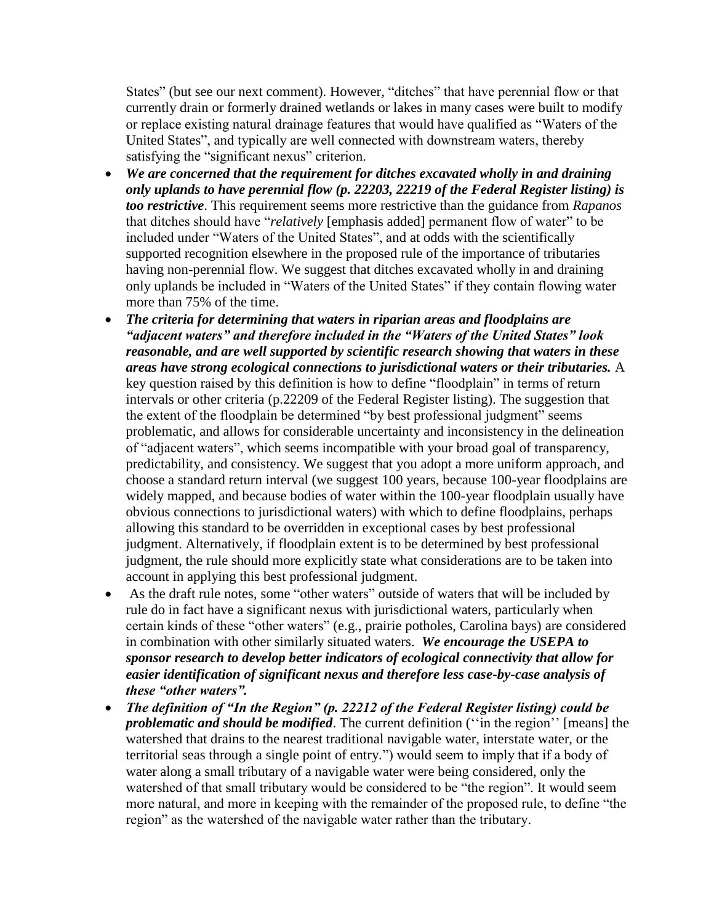States" (but see our next comment). However, "ditches" that have perennial flow or that currently drain or formerly drained wetlands or lakes in many cases were built to modify or replace existing natural drainage features that would have qualified as "Waters of the United States", and typically are well connected with downstream waters, thereby satisfying the "significant nexus" criterion.

- *We are concerned that the requirement for ditches excavated wholly in and draining only uplands to have perennial flow (p. 22203, 22219 of the Federal Register listing) is too restrictive*. This requirement seems more restrictive than the guidance from *Rapanos* that ditches should have "*relatively* [emphasis added] permanent flow of water" to be included under "Waters of the United States", and at odds with the scientifically supported recognition elsewhere in the proposed rule of the importance of tributaries having non-perennial flow. We suggest that ditches excavated wholly in and draining only uplands be included in "Waters of the United States" if they contain flowing water more than 75% of the time.
- *The criteria for determining that waters in riparian areas and floodplains are "adjacent waters" and therefore included in the "Waters of the United States" look reasonable, and are well supported by scientific research showing that waters in these areas have strong ecological connections to jurisdictional waters or their tributaries.* A key question raised by this definition is how to define "floodplain" in terms of return intervals or other criteria (p.22209 of the Federal Register listing). The suggestion that the extent of the floodplain be determined "by best professional judgment" seems problematic, and allows for considerable uncertainty and inconsistency in the delineation of "adjacent waters", which seems incompatible with your broad goal of transparency, predictability, and consistency. We suggest that you adopt a more uniform approach, and choose a standard return interval (we suggest 100 years, because 100-year floodplains are widely mapped, and because bodies of water within the 100-year floodplain usually have obvious connections to jurisdictional waters) with which to define floodplains, perhaps allowing this standard to be overridden in exceptional cases by best professional judgment. Alternatively, if floodplain extent is to be determined by best professional judgment, the rule should more explicitly state what considerations are to be taken into account in applying this best professional judgment.
- As the draft rule notes, some "other waters" outside of waters that will be included by rule do in fact have a significant nexus with jurisdictional waters, particularly when certain kinds of these "other waters" (e.g., prairie potholes, Carolina bays) are considered in combination with other similarly situated waters. *We encourage the USEPA to sponsor research to develop better indicators of ecological connectivity that allow for easier identification of significant nexus and therefore less case-by-case analysis of these "other waters".*
- *The definition of "In the Region" (p. 22212 of the Federal Register listing) could be problematic and should be modified*. The current definition ("in the region" [means] the watershed that drains to the nearest traditional navigable water, interstate water, or the territorial seas through a single point of entry.") would seem to imply that if a body of water along a small tributary of a navigable water were being considered, only the watershed of that small tributary would be considered to be "the region". It would seem more natural, and more in keeping with the remainder of the proposed rule, to define "the region" as the watershed of the navigable water rather than the tributary.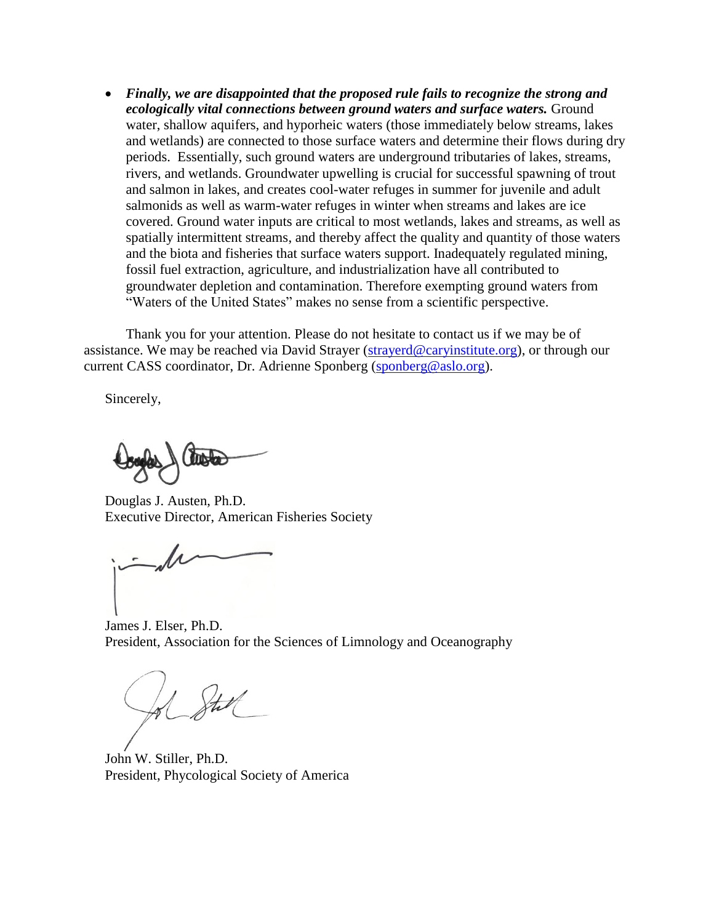*Finally, we are disappointed that the proposed rule fails to recognize the strong and ecologically vital connections between ground waters and surface waters.* Ground water, shallow aquifers, and hyporheic waters (those immediately below streams, lakes and wetlands) are connected to those surface waters and determine their flows during dry periods. Essentially, such ground waters are underground tributaries of lakes, streams, rivers, and wetlands. Groundwater upwelling is crucial for successful spawning of trout and salmon in lakes, and creates cool-water refuges in summer for juvenile and adult salmonids as well as warm-water refuges in winter when streams and lakes are ice covered. Ground water inputs are critical to most wetlands, lakes and streams, as well as spatially intermittent streams, and thereby affect the quality and quantity of those waters and the biota and fisheries that surface waters support. Inadequately regulated mining, fossil fuel extraction, agriculture, and industrialization have all contributed to groundwater depletion and contamination. Therefore exempting ground waters from "Waters of the United States" makes no sense from a scientific perspective.

Thank you for your attention. Please do not hesitate to contact us if we may be of assistance. We may be reached via David Strayer [\(strayerd@caryinstitute.org\)](mailto:strayerd@caryinstitute.org), or through our current CASS coordinator, Dr. Adrienne Sponberg [\(sponberg@aslo.org\)](mailto:sponberg@aslo.org).

Sincerely,

motor

Douglas J. Austen, Ph.D. Executive Director, American Fisheries Society

James J. Elser, Ph.D. President, Association for the Sciences of Limnology and Oceanography

John W. Stiller, Ph.D. President, Phycological Society of America